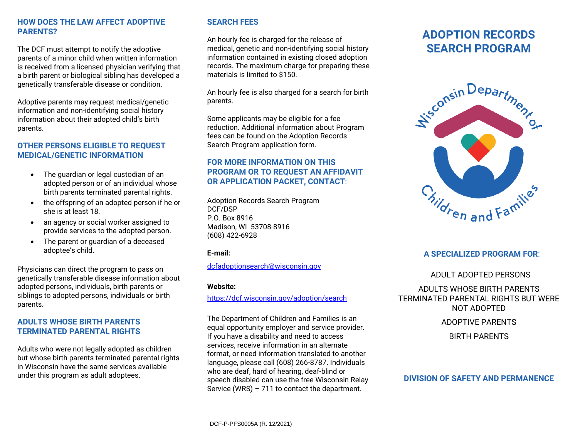### **HOW DOES THE LAW AFFECT ADOPTIVE PARENTS?**

The DCF must attempt to notify the adoptive parents of a minor child when written information is received from a licensed physician verifying that a birth parent or biological sibling has developed a genetically transferable disease or condition.

Adoptive parents may request medical/genetic information and non-identifying social history information about their adopted child's birth parents.

## **OTHER PERSONS ELIGIBLE TO REQUEST MEDICAL/GENETIC INFORMATION**

- The guardian or legal custodian of an adopted person or of an individual whose birth parents terminated parental rights.
- the offspring of an adopted person if he or she is at least 18.
- an agency or social worker assigned to provide services to the adopted person.
- The parent or guardian of a deceased adoptee's child.

Physicians can direct the program to pass on genetically transferable disease information about adopted persons, individuals, birth parents or siblings to adopted persons, individuals or birth parents.

## **ADULTS WHOSE BIRTH PARENTS TERMINATED PARENTAL RIGHTS**

Adults who were not legally adopted as children but whose birth parents terminated parental rights in Wisconsin have the same services available under this program as adult adoptees.

## **SEARCH FEES**

An hourly fee is charged for the release of medical, genetic and non-identifying social history information contained in existing closed adoption records. The maximum charge for preparing these materials is limited to \$150.

An hourly fee is also charged for a search for birth parents.

Some applicants may be eligible for a fee reduction. Additional information about Program fees can be found on the Adoption Records Search Program application form.

## **FOR MORE INFORMATION ON THIS PROGRAM OR TO REQUEST AN AFFIDAVIT OR APPLICATION PACKET, CONTACT**:

Adoption Records Search Program DCF/DSP P.O. Box 8916 Madison, WI 53708-8916 (608) 422-6928

#### **E-mail:**

dcfadoptionsearch@wisconsin.gov

#### **Website:**

<https://dcf.wisconsin.gov/adoption/search>

The Department of Children and Families is an equal opportunity employer and service provider. If you have a disability and need to access services, receive information in an alternate format, or need information translated to another language, please call (608) 266-8787. Individuals who are deaf, hard of hearing, deaf-blind or speech disabled can use the free Wisconsin Relay Service (WRS) – 711 to contact the department.

# **ADOPTION RECORDS SEARCH PROGRAM**



## **A SPECIALIZED PROGRAM FOR**:

ADULT ADOPTED PERSONS

ADULTS WHOSE BIRTH PARENTS TERMINATED PARENTAL RIGHTS BUT WERE NOT ADOPTED

#### ADOPTIVE PARENTS

BIRTH PARENTS

## **DIVISION OF SAFETY AND PERMANENCE**